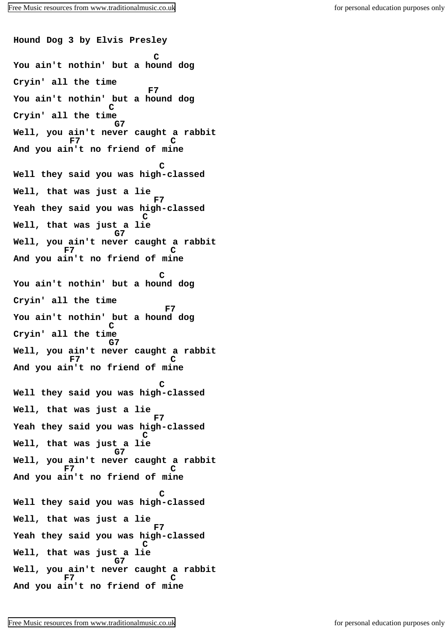**Hound Dog 3 by Elvis Presley C You ain't nothin' but a hound dog Cryin' all the time E7 You ain't nothin' but a hound dog C Cryin' all the time G7 Well, you ain't never caught a rabbit F7 C And you ain't no friend of mine C Well they said you was high-classed Well, that was just a lie F7 Yeah they said you was high-classed C Well, that was just a lie G7 Well, you ain't never caught a rabbit F7 C And you ain't no friend of mine C You ain't nothin' but a hound dog Cryin' all the time E7 You ain't nothin' but a hound dog C Cryin' all the time G7 Well, you ain't never caught a rabbit F7 C And you ain't no friend of mine C Well they said you was high-classed Well, that was just a lie F7 Yeah they said you was high-classed C Well, that was just a lie G7 Well, you ain't never caught a rabbit F7 C And you ain't no friend of mine C Well they said you was high-classed Well, that was just a lie F7 Yeah they said you was high-classed C Well, that was just a lie G7 Well, you ain't never caught a rabbit F7 C And you ain't no friend of mine**